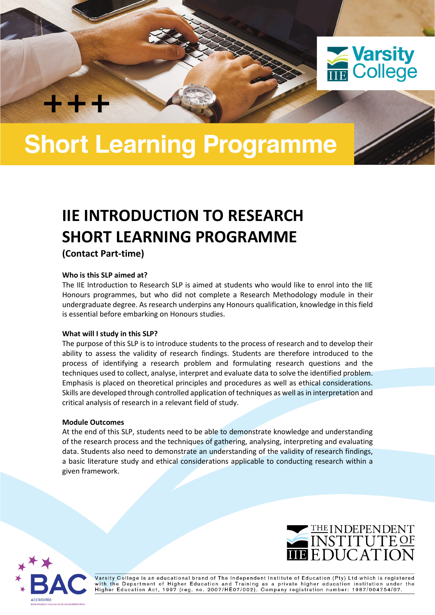

# **Short Learning Programme**

# **IIE INTRODUCTION TO RESEARCH SHORT LEARNING PROGRAMME**

**(Contact Part-time)**

╈╋╋

### **Who is this SLP aimed at?**

The IIE Introduction to Research SLP is aimed at students who would like to enrol into the IIE Honours programmes, but who did not complete a Research Methodology module in their undergraduate degree. As research underpins any Honours qualification, knowledge in this field is essential before embarking on Honours studies.

#### **What will I study in this SLP?**

The purpose of this SLP is to introduce students to the process of research and to develop their ability to assess the validity of research findings. Students are therefore introduced to the process of identifying a research problem and formulating research questions and the techniques used to collect, analyse, interpret and evaluate data to solve the identified problem. Emphasis is placed on theoretical principles and procedures as well as ethical considerations. Skills are developed through controlled application of techniques as well as in interpretation and critical analysis of research in a relevant field of study.

#### **Module Outcomes**

At the end of this SLP, students need to be able to demonstrate knowledge and understanding of the research process and the techniques of gathering, analysing, interpreting and evaluating data. Students also need to demonstrate an understanding of the validity of research findings, a basic literature study and ethical considerations applicable to conducting research within a given framework.





Varsity College is an educational brand of The Independent Institute of Education (Pty) Ltd which is registered with the Department of Higher Education and Training as a private higher education institution under the<br>Higher Education Act, 1997 (reg. no. 2007/HE07/002). Company registration number: 1987/004754/07.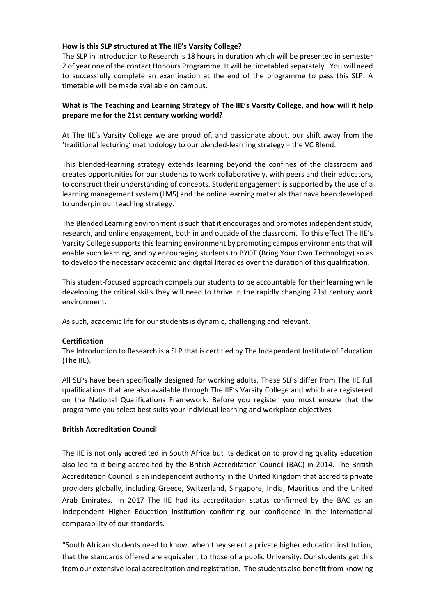### **How is this SLP structured at The IIE's Varsity College?**

The SLP in Introduction to Research is 18 hours in duration which will be presented in semester 2 of year one of the contact Honours Programme. It will be timetabled separately. You will need to successfully complete an examination at the end of the programme to pass this SLP. A timetable will be made available on campus.

# **What is The Teaching and Learning Strategy of The IIE's Varsity College, and how will it help prepare me for the 21st century working world?**

At The IIE's Varsity College we are proud of, and passionate about, our shift away from the 'traditional lecturing' methodology to our blended-learning strategy – the VC Blend.

This blended-learning strategy extends learning beyond the confines of the classroom and creates opportunities for our students to work collaboratively, with peers and their educators, to construct their understanding of concepts. Student engagement is supported by the use of a learning management system (LMS) and the online learning materials that have been developed to underpin our teaching strategy.

The Blended Learning environment is such that it encourages and promotes independent study, research, and online engagement, both in and outside of the classroom. To this effect The IIE's Varsity College supports this learning environment by promoting campus environments that will enable such learning, and by encouraging students to BYOT (Bring Your Own Technology) so as to develop the necessary academic and digital literacies over the duration of this qualification.

This student-focused approach compels our students to be accountable for their learning while developing the critical skills they will need to thrive in the rapidly changing 21st century work environment.

As such, academic life for our students is dynamic, challenging and relevant.

#### **Certification**

The Introduction to Research is a SLP that is certified by The Independent Institute of Education (The IIE).

All SLPs have been specifically designed for working adults. These SLPs differ from The IIE full qualifications that are also available through The IIE's Varsity College and which are registered on the National Qualifications Framework. Before you register you must ensure that the programme you select best suits your individual learning and workplace objectives

### **British Accreditation Council**

The IIE is not only accredited in South Africa but its dedication to providing quality education also led to it being accredited by the British Accreditation Council (BAC) in 2014. The British Accreditation Council is an independent authority in the United Kingdom that accredits private providers globally, including Greece, Switzerland, Singapore, India, Mauritius and the United Arab Emirates. In 2017 The IIE had its accreditation status confirmed by the BAC as an Independent Higher Education Institution confirming our confidence in the international comparability of our standards.

"South African students need to know, when they select a private higher education institution, that the standards offered are equivalent to those of a public University. Our students get this from our extensive local accreditation and registration. The students also benefit from knowing